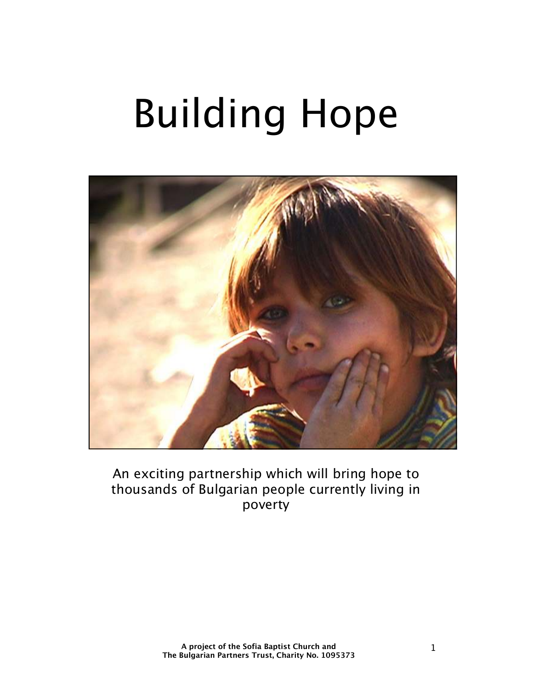# Building Hope



An exciting partnership which will bring hope to thousands of Bulgarian people currently living in poverty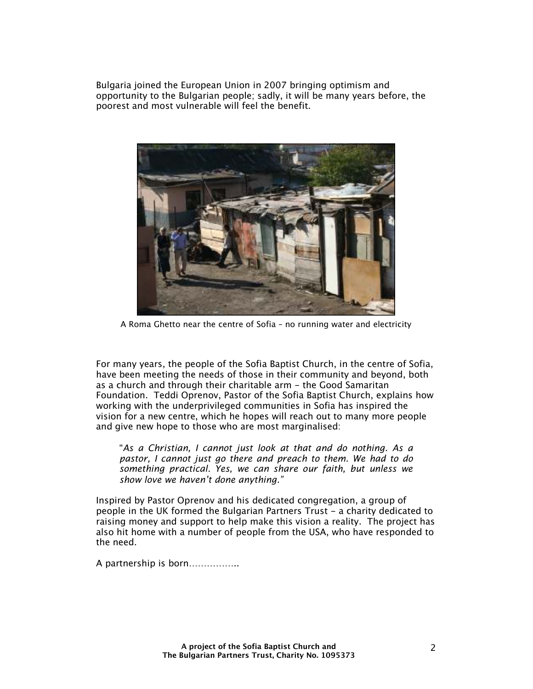Bulgaria joined the European Union in 2007 bringing optimism and opportunity to the Bulgarian people; sadly, it will be many years before, the poorest and most vulnerable will feel the benefit.



A Roma Ghetto near the centre of Sofia – no running water and electricity

For many years, the people of the Sofia Baptist Church, in the centre of Sofia, have been meeting the needs of those in their community and beyond, both as a church and through their charitable arm - the Good Samaritan Foundation. Teddi Oprenov, Pastor of the Sofia Baptist Church, explains how working with the underprivileged communities in Sofia has inspired the vision for a new centre, which he hopes will reach out to many more people and give new hope to those who are most marginalised:

"*As a Christian, I cannot just look at that and do nothing. As a pastor, I cannot just go there and preach to them. We had to do something practical. Yes, we can share our faith, but unless we show love we haven't done anything."* 

Inspired by Pastor Oprenov and his dedicated congregation, a group of people in the UK formed the Bulgarian Partners Trust - a charity dedicated to raising money and support to help make this vision a reality. The project has also hit home with a number of people from the USA, who have responded to the need.

A partnership is born……………..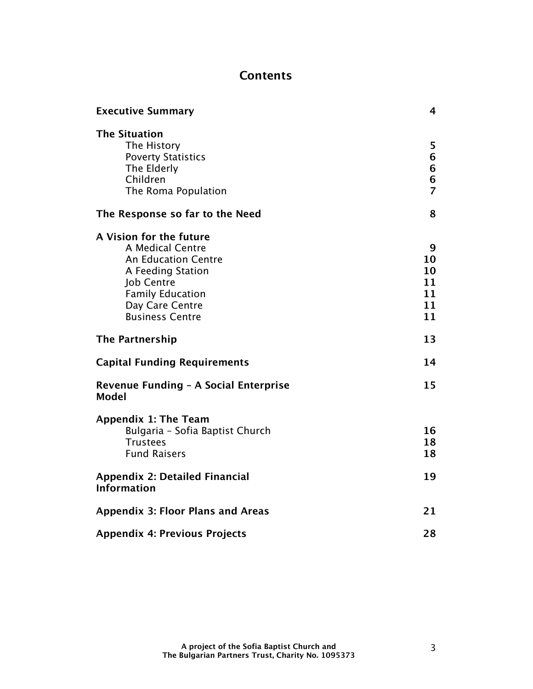## **Contents**

| <b>Executive Summary</b>                                                                                                                                                                    | 4                                     |
|---------------------------------------------------------------------------------------------------------------------------------------------------------------------------------------------|---------------------------------------|
| <b>The Situation</b><br>The History<br><b>Poverty Statistics</b><br>The Elderly<br>Children<br>The Roma Population                                                                          | 5<br>6<br>6<br>6<br>$\overline{7}$    |
| The Response so far to the Need                                                                                                                                                             | 8                                     |
| A Vision for the future<br>A Medical Centre<br><b>An Education Centre</b><br>A Feeding Station<br><b>Job Centre</b><br><b>Family Education</b><br>Day Care Centre<br><b>Business Centre</b> | 9<br>10<br>10<br>11<br>11<br>11<br>11 |
| <b>The Partnership</b>                                                                                                                                                                      | 13                                    |
| <b>Capital Funding Requirements</b>                                                                                                                                                         | 14                                    |
| Revenue Funding - A Social Enterprise<br><b>Model</b>                                                                                                                                       | 15                                    |
| <b>Appendix 1: The Team</b><br>Bulgaria - Sofia Baptist Church<br><b>Trustees</b><br><b>Fund Raisers</b>                                                                                    | 16<br>18<br>18                        |
| <b>Appendix 2: Detailed Financial</b><br><b>Information</b>                                                                                                                                 | 19                                    |
| <b>Appendix 3: Floor Plans and Areas</b>                                                                                                                                                    | 21                                    |
| <b>Appendix 4: Previous Projects</b>                                                                                                                                                        | 28                                    |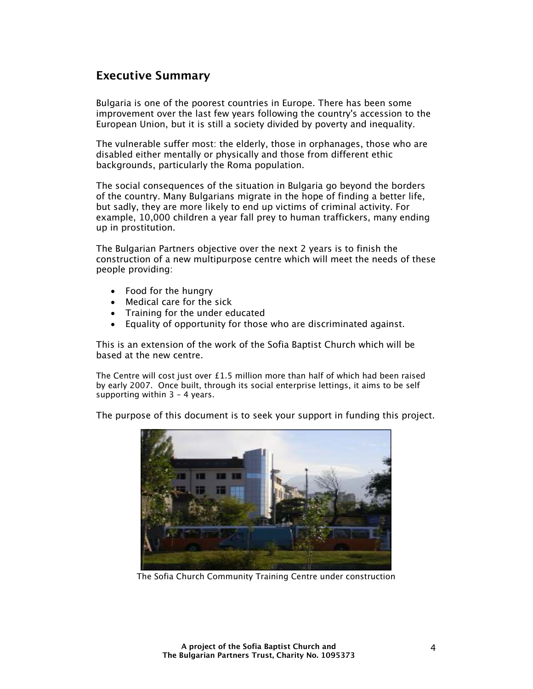## **Executive Summary**

Bulgaria is one of the poorest countries in Europe. There has been some improvement over the last few years following the country's accession to the European Union, but it is still a society divided by poverty and inequality.

The vulnerable suffer most: the elderly, those in orphanages, those who are disabled either mentally or physically and those from different ethic backgrounds, particularly the Roma population.

The social consequences of the situation in Bulgaria go beyond the borders of the country. Many Bulgarians migrate in the hope of finding a better life, but sadly, they are more likely to end up victims of criminal activity. For example, 10,000 children a year fall prey to human traffickers, many ending up in prostitution.

The Bulgarian Partners objective over the next 2 years is to finish the construction of a new multipurpose centre which will meet the needs of these people providing:

- Food for the hungry
- Medical care for the sick
- Training for the under educated
- Equality of opportunity for those who are discriminated against.

This is an extension of the work of the Sofia Baptist Church which will be based at the new centre.

The Centre will cost just over £1.5 million more than half of which had been raised by early 2007. Once built, through its social enterprise lettings, it aims to be self supporting within 3 – 4 years.

The purpose of this document is to seek your support in funding this project.



The Sofia Church Community Training Centre under construction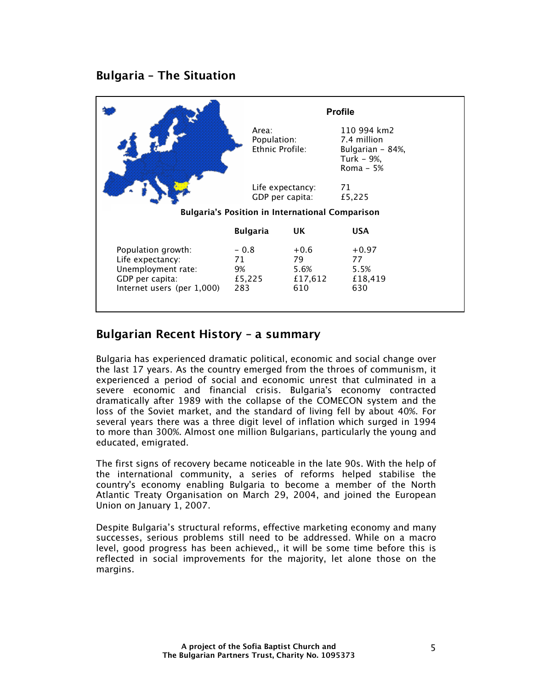## **Bulgaria – The Situation**

|                                                                                                               |                                         |                                                        | <b>Profile</b>                                                            |  |
|---------------------------------------------------------------------------------------------------------------|-----------------------------------------|--------------------------------------------------------|---------------------------------------------------------------------------|--|
|                                                                                                               | Area:<br>Population:<br>Ethnic Profile: |                                                        | 110 994 km2<br>7.4 million<br>Bulgarian - 84%,<br>Turk - 9%,<br>Roma - 5% |  |
|                                                                                                               |                                         | Life expectancy:<br>GDP per capita:                    | 71<br>£5,225                                                              |  |
|                                                                                                               |                                         | <b>Bulgaria's Position in International Comparison</b> |                                                                           |  |
|                                                                                                               | <b>Bulgaria</b>                         | UK.                                                    | <b>USA</b>                                                                |  |
| Population growth:<br>Life expectancy:<br>Unemployment rate:<br>GDP per capita:<br>Internet users (per 1,000) | $-0.8$<br>71<br>9%<br>£5,225<br>283     | $+0.6$<br>79<br>5.6%<br>£17,612<br>610                 | $+0.97$<br>77<br>5.5%<br>£18,419<br>630                                   |  |

## **Bulgarian Recent History – a summary**

Bulgaria has experienced dramatic political, economic and social change over the last 17 years. As the country emerged from the throes of communism, it experienced a period of social and economic unrest that culminated in a severe economic and financial crisis. Bulgaria's economy contracted dramatically after 1989 with the collapse of the COMECON system and the loss of the Soviet market, and the standard of living fell by about 40%. For several years there was a three digit level of inflation which surged in 1994 to more than 300%. Almost one million Bulgarians, particularly the young and educated, emigrated.

The first signs of recovery became noticeable in the late 90s. With the help of the international community, a series of reforms helped stabilise the country's economy enabling Bulgaria to become a member of the North Atlantic Treaty Organisation on March 29, 2004, and joined the European Union on January 1, 2007.

Despite Bulgaria's structural reforms, effective marketing economy and many successes, serious problems still need to be addressed. While on a macro level, good progress has been achieved,, it will be some time before this is reflected in social improvements for the majority, let alone those on the margins.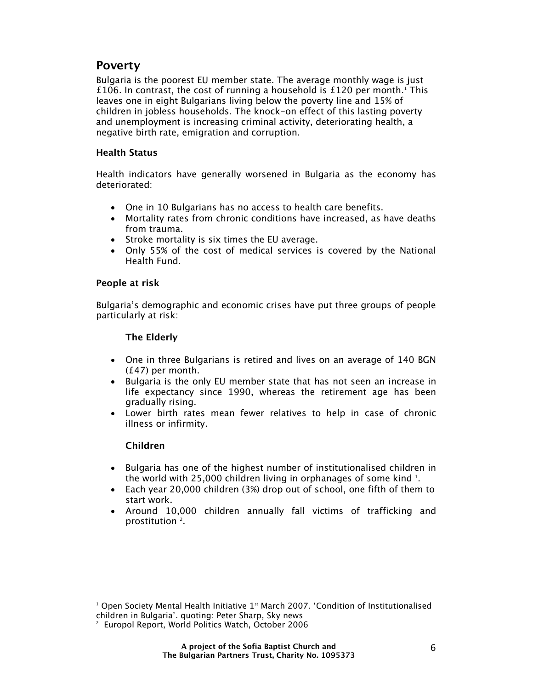### **Poverty**

Bulgaria is the poorest EU member state. The average monthly wage is just £106. In contrast, the cost of running a household is £120 per month.<sup>1</sup> This leaves one in eight Bulgarians living below the poverty line and 15% of children in jobless households. The knock-on effect of this lasting poverty and unemployment is increasing criminal activity, deteriorating health, a negative birth rate, emigration and corruption.

#### **Health Status**

Health indicators have generally worsened in Bulgaria as the economy has deteriorated:

- One in 10 Bulgarians has no access to health care benefits.
- Mortality rates from chronic conditions have increased, as have deaths from trauma.
- Stroke mortality is six times the EU average.
- Only 55% of the cost of medical services is covered by the National Health Fund.

#### **People at risk**

Bulgaria's demographic and economic crises have put three groups of people particularly at risk:

#### **The Elderly**

- One in three Bulgarians is retired and lives on an average of 140 BGN (£47) per month.
- Bulgaria is the only EU member state that has not seen an increase in life expectancy since 1990, whereas the retirement age has been gradually rising.
- Lower birth rates mean fewer relatives to help in case of chronic illness or infirmity.

#### **Children**

- Bulgaria has one of the highest number of institutionalised children in the world with 25,000 children living in orphanages of some kind  $^{\rm 1}.$
- Each year 20,000 children (3%) drop out of school, one fifth of them to start work.
- Around 10,000 children annually fall victims of trafficking and prostitution<sup>2</sup>.

l  $^{\rm 1}$  Open Society Mental Health Initiative 1st March 2007. 'Condition of Institutionalised children in Bulgaria'. quoting: Peter Sharp, Sky news

<sup>2</sup> Europol Report, World Politics Watch, October 2006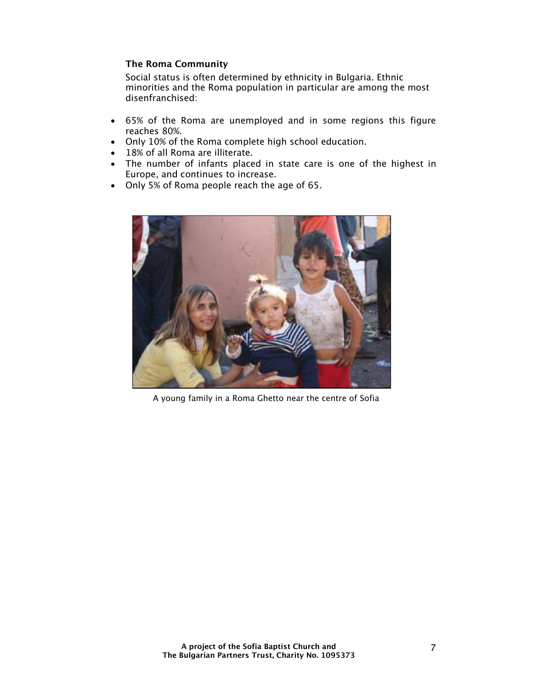#### **The Roma Community**

Social status is often determined by ethnicity in Bulgaria. Ethnic minorities and the Roma population in particular are among the most disenfranchised:

- 65% of the Roma are unemployed and in some regions this figure reaches 80%.
- Only 10% of the Roma complete high school education.
- 18% of all Roma are illiterate.
- The number of infants placed in state care is one of the highest in Europe, and continues to increase.
- Only 5% of Roma people reach the age of 65.



A young family in a Roma Ghetto near the centre of Sofia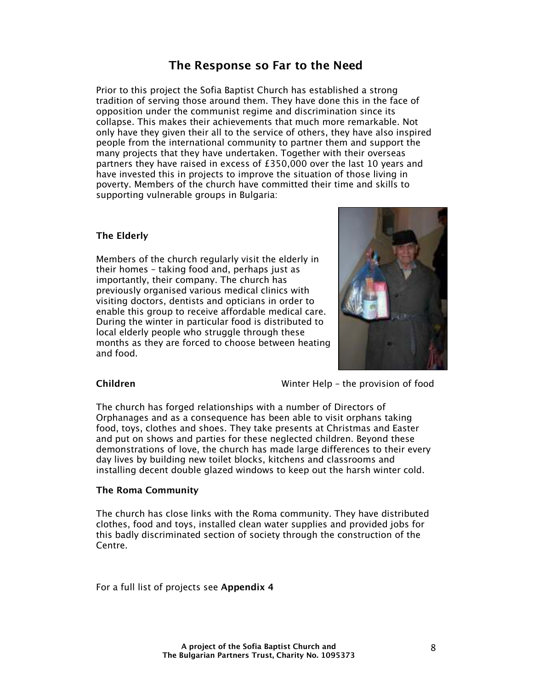## **The Response so Far to the Need**

Prior to this project the Sofia Baptist Church has established a strong tradition of serving those around them. They have done this in the face of opposition under the communist regime and discrimination since its collapse. This makes their achievements that much more remarkable. Not only have they given their all to the service of others, they have also inspired people from the international community to partner them and support the many projects that they have undertaken. Together with their overseas partners they have raised in excess of £350,000 over the last 10 years and have invested this in projects to improve the situation of those living in poverty. Members of the church have committed their time and skills to supporting vulnerable groups in Bulgaria:

#### **The Elderly**

Members of the church regularly visit the elderly in their homes – taking food and, perhaps just as importantly, their company. The church has previously organised various medical clinics with visiting doctors, dentists and opticians in order to enable this group to receive affordable medical care. During the winter in particular food is distributed to local elderly people who struggle through these months as they are forced to choose between heating and food.



**Children** Winter Help – the provision of food

The church has forged relationships with a number of Directors of Orphanages and as a consequence has been able to visit orphans taking food, toys, clothes and shoes. They take presents at Christmas and Easter and put on shows and parties for these neglected children. Beyond these demonstrations of love, the church has made large differences to their every day lives by building new toilet blocks, kitchens and classrooms and installing decent double glazed windows to keep out the harsh winter cold.

#### **The Roma Community**

The church has close links with the Roma community. They have distributed clothes, food and toys, installed clean water supplies and provided jobs for this badly discriminated section of society through the construction of the Centre.

For a full list of projects see **Appendix 4**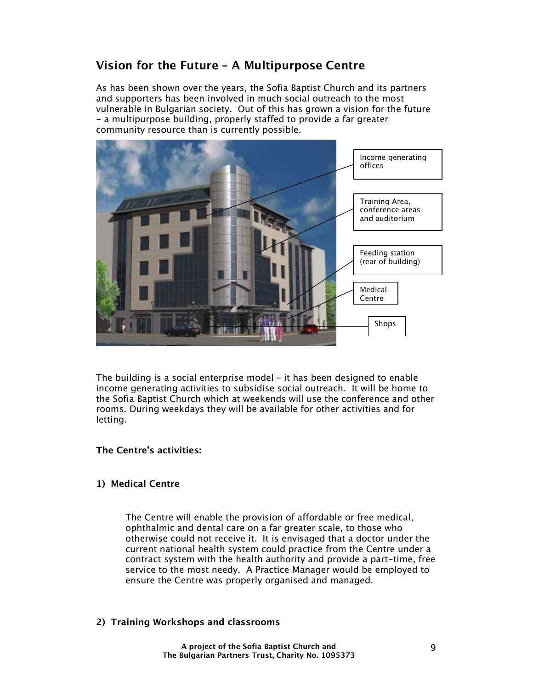## **Vision for the Future – A Multipurpose Centre**

As has been shown over the years, the Sofia Baptist Church and its partners and supporters has been involved in much social outreach to the most vulnerable in Bulgarian society. Out of this has grown a vision for the future - a multipurpose building, properly staffed to provide a far greater community resource than is currently possible.



The building is a social enterprise model – it has been designed to enable income generating activities to subsidise social outreach. It will be home to the Sofia Baptist Church which at weekends will use the conference and other rooms. During weekdays they will be available for other activities and for letting.

#### **The Centre's activities:**

#### **1) Medical Centre**

The Centre will enable the provision of affordable or free medical, ophthalmic and dental care on a far greater scale, to those who otherwise could not receive it. It is envisaged that a doctor under the current national health system could practice from the Centre under a contract system with the health authority and provide a part-time, free service to the most needy. A Practice Manager would be employed to ensure the Centre was properly organised and managed.

#### **2) Training Workshops and classrooms**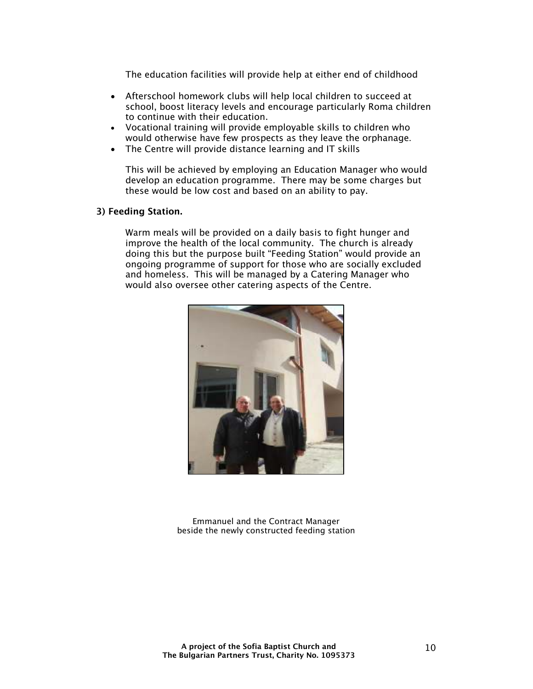The education facilities will provide help at either end of childhood

- Afterschool homework clubs will help local children to succeed at school, boost literacy levels and encourage particularly Roma children to continue with their education.
- Vocational training will provide employable skills to children who would otherwise have few prospects as they leave the orphanage.
- The Centre will provide distance learning and IT skills

This will be achieved by employing an Education Manager who would develop an education programme. There may be some charges but these would be low cost and based on an ability to pay.

#### **3) Feeding Station.**

Warm meals will be provided on a daily basis to fight hunger and improve the health of the local community. The church is already doing this but the purpose built "Feeding Station" would provide an ongoing programme of support for those who are socially excluded and homeless. This will be managed by a Catering Manager who would also oversee other catering aspects of the Centre.



Emmanuel and the Contract Manager beside the newly constructed feeding station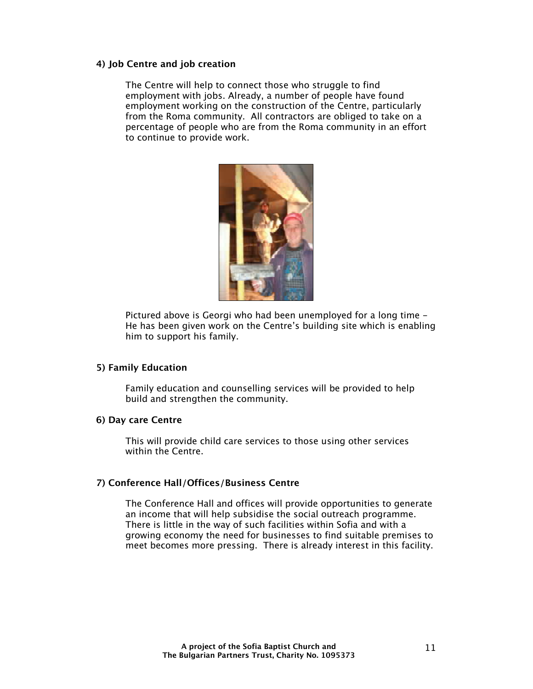#### **4) Job Centre and job creation**

The Centre will help to connect those who struggle to find employment with jobs. Already, a number of people have found employment working on the construction of the Centre, particularly from the Roma community. All contractors are obliged to take on a percentage of people who are from the Roma community in an effort to continue to provide work.



Pictured above is Georgi who had been unemployed for a long time - He has been given work on the Centre's building site which is enabling him to support his family.

#### **5) Family Education**

Family education and counselling services will be provided to help build and strengthen the community.

#### **6) Day care Centre**

This will provide child care services to those using other services within the Centre.

#### **7) Conference Hall/Offices/Business Centre**

The Conference Hall and offices will provide opportunities to generate an income that will help subsidise the social outreach programme. There is little in the way of such facilities within Sofia and with a growing economy the need for businesses to find suitable premises to meet becomes more pressing. There is already interest in this facility.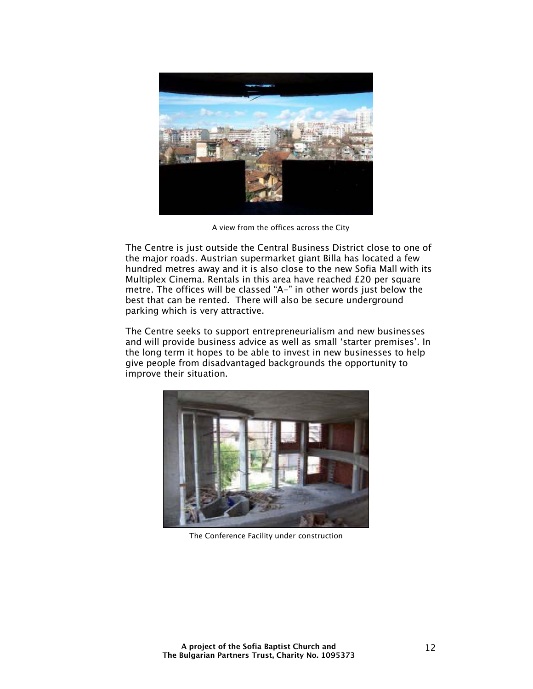

A view from the offices across the City

The Centre is just outside the Central Business District close to one of the major roads. Austrian supermarket giant Billa has located a few hundred metres away and it is also close to the new Sofia Mall with its Multiplex Cinema. Rentals in this area have reached £20 per square metre. The offices will be classed "A-" in other words just below the best that can be rented. There will also be secure underground parking which is very attractive.

The Centre seeks to support entrepreneurialism and new businesses and will provide business advice as well as small 'starter premises'. In the long term it hopes to be able to invest in new businesses to help give people from disadvantaged backgrounds the opportunity to improve their situation.



The Conference Facility under construction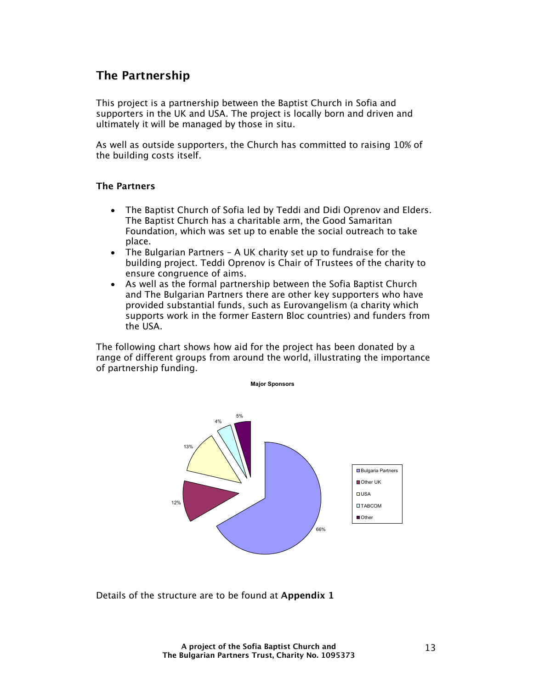## **The Partnership**

This project is a partnership between the Baptist Church in Sofia and supporters in the UK and USA. The project is locally born and driven and ultimately it will be managed by those in situ.

As well as outside supporters, the Church has committed to raising 10% of the building costs itself.

#### **The Partners**

- The Baptist Church of Sofia led by Teddi and Didi Oprenov and Elders. The Baptist Church has a charitable arm, the Good Samaritan Foundation, which was set up to enable the social outreach to take place.
- The Bulgarian Partners A UK charity set up to fundraise for the building project. Teddi Oprenov is Chair of Trustees of the charity to ensure congruence of aims.
- As well as the formal partnership between the Sofia Baptist Church and The Bulgarian Partners there are other key supporters who have provided substantial funds, such as Eurovangelism (a charity which supports work in the former Eastern Bloc countries) and funders from the USA.

The following chart shows how aid for the project has been donated by a range of different groups from around the world, illustrating the importance of partnership funding.



Details of the structure are to be found at **Appendix 1**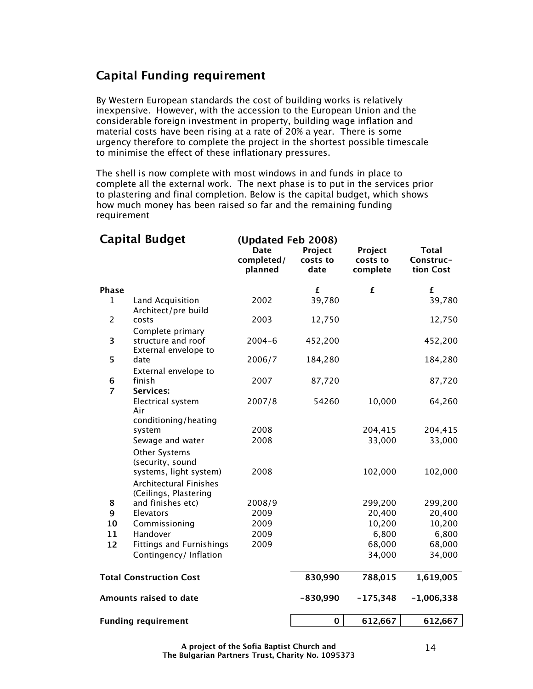## **Capital Funding requirement**

By Western European standards the cost of building works is relatively inexpensive. However, with the accession to the European Union and the considerable foreign investment in property, building wage inflation and material costs have been rising at a rate of 20% a year. There is some urgency therefore to complete the project in the shortest possible timescale to minimise the effect of these inflationary pressures.

The shell is now complete with most windows in and funds in place to complete all the external work. The next phase is to put in the services prior to plastering and final completion. Below is the capital budget, which shows how much money has been raised so far and the remaining funding requirement

|                     | <b>Capital Budget</b>                                                                        | (Updated Feb 2008)<br><b>Date</b><br>completed/<br>planned | Project<br>costs to<br>date | Project<br>costs to<br>complete | <b>Total</b><br>Construc-<br>tion Cost |
|---------------------|----------------------------------------------------------------------------------------------|------------------------------------------------------------|-----------------------------|---------------------------------|----------------------------------------|
| <b>Phase</b>        |                                                                                              |                                                            | £                           | £                               | £                                      |
| $\mathbf{1}$        | Land Acquisition<br>Architect/pre build                                                      | 2002                                                       | 39,780                      |                                 | 39,780                                 |
| $\overline{2}$      | costs                                                                                        | 2003                                                       | 12,750                      |                                 | 12,750                                 |
| 3                   | Complete primary<br>structure and roof<br>External envelope to                               | $2004 - 6$                                                 | 452,200                     |                                 | 452,200                                |
| 5                   | date                                                                                         | 2006/7                                                     | 184,280                     |                                 | 184,280                                |
| 6<br>$\overline{z}$ | External envelope to<br>finish<br><b>Services:</b>                                           | 2007                                                       | 87,720                      |                                 | 87,720                                 |
|                     | Electrical system<br>Air                                                                     | 2007/8                                                     | 54260                       | 10,000                          | 64,260                                 |
|                     | conditioning/heating<br>system                                                               | 2008                                                       |                             | 204,415                         | 204,415                                |
|                     | Sewage and water                                                                             | 2008                                                       |                             | 33,000                          | 33,000                                 |
|                     | Other Systems<br>(security, sound<br>systems, light system)<br><b>Architectural Finishes</b> | 2008                                                       |                             | 102,000                         | 102,000                                |
| 8                   | (Ceilings, Plastering<br>and finishes etc)                                                   | 2008/9                                                     |                             | 299,200                         | 299,200                                |
| 9                   | Elevators                                                                                    | 2009                                                       |                             | 20,400                          | 20,400                                 |
| 10                  | Commissioning                                                                                | 2009                                                       |                             | 10,200                          | 10,200                                 |
| 11                  | Handover                                                                                     | 2009                                                       |                             | 6,800                           | 6,800                                  |
| 12                  | <b>Fittings and Furnishings</b>                                                              | 2009                                                       |                             | 68,000                          | 68,000                                 |
|                     | Contingency/ Inflation                                                                       |                                                            |                             | 34,000                          | 34,000                                 |
|                     | <b>Total Construction Cost</b>                                                               |                                                            | 830,990                     | 788,015                         | 1,619,005                              |
|                     | Amounts raised to date                                                                       |                                                            | $-830,990$                  | $-175,348$                      | $-1,006,338$                           |
|                     | <b>Funding requirement</b>                                                                   |                                                            | $\mathbf 0$                 | 612,667                         | 612,667                                |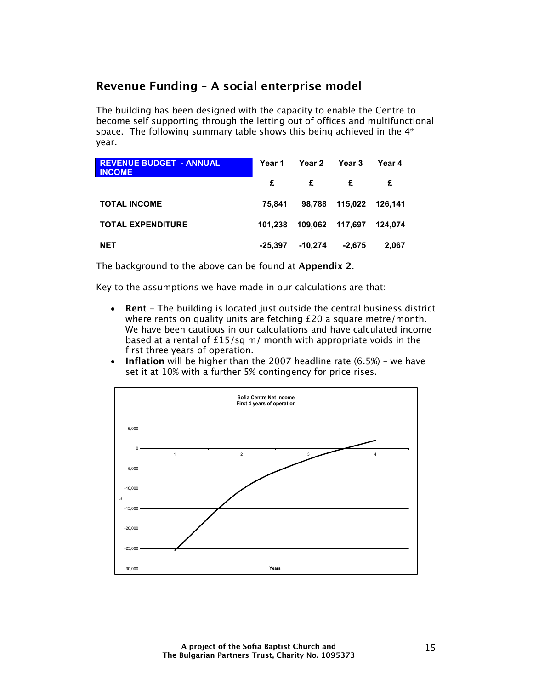## **Revenue Funding – A social enterprise model**

The building has been designed with the capacity to enable the Centre to become self supporting through the letting out of offices and multifunctional space. The following summary table shows this being achieved in the  $4<sup>th</sup>$ year.

| <b>REVENUE BUDGET - ANNUAL</b><br><b>INCOME</b> | Year 1    | Year 2    | Year 3          | Year 4  |
|-------------------------------------------------|-----------|-----------|-----------------|---------|
|                                                 | £         | £         | £               | £       |
| <b>TOTAL INCOME</b>                             | 75.841    | 98.788    | 115,022 126,141 |         |
| <b>TOTAL EXPENDITURE</b>                        | 101.238   |           | 109,062 117,697 | 124.074 |
| <b>NET</b>                                      | $-25.397$ | $-10.274$ | $-2.675$        | 2.067   |

The background to the above can be found at **Appendix 2**.

Key to the assumptions we have made in our calculations are that:

- **Rent** The building is located just outside the central business district where rents on quality units are fetching £20 a square metre/month. We have been cautious in our calculations and have calculated income based at a rental of £15/sq m/ month with appropriate voids in the first three years of operation.
- **Inflation** will be higher than the 2007 headline rate (6.5%) we have set it at 10% with a further 5% contingency for price rises.

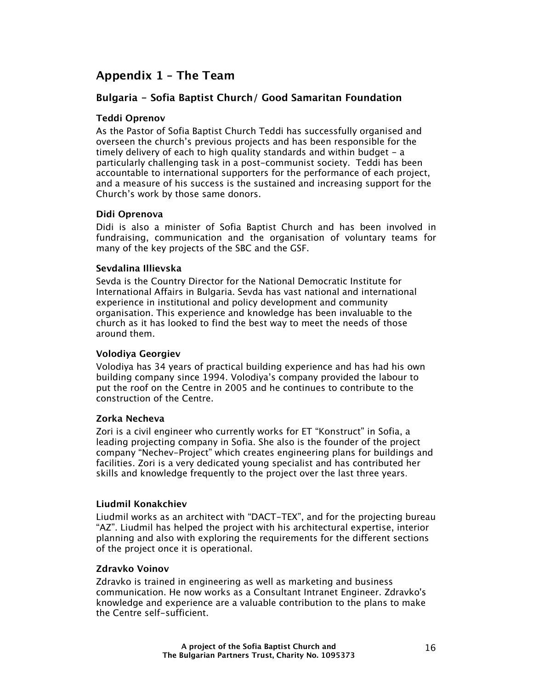## **Appendix 1 – The Team**

#### **Bulgaria - Sofia Baptist Church/ Good Samaritan Foundation**

#### **Teddi Oprenov**

As the Pastor of Sofia Baptist Church Teddi has successfully organised and overseen the church's previous projects and has been responsible for the timely delivery of each to high quality standards and within budget - a particularly challenging task in a post-communist society. Teddi has been accountable to international supporters for the performance of each project, and a measure of his success is the sustained and increasing support for the Church's work by those same donors.

#### **Didi Oprenova**

Didi is also a minister of Sofia Baptist Church and has been involved in fundraising, communication and the organisation of voluntary teams for many of the key projects of the SBC and the GSF.

#### **Sevdalina Illievska**

Sevda is the Country Director for the National Democratic Institute for International Affairs in Bulgaria. Sevda has vast national and international experience in institutional and policy development and community organisation. This experience and knowledge has been invaluable to the church as it has looked to find the best way to meet the needs of those around them.

#### **Volodiya Georgiev**

Volodiya has 34 years of practical building experience and has had his own building company since 1994. Volodiya's company provided the labour to put the roof on the Centre in 2005 and he continues to contribute to the construction of the Centre.

#### **Zorka Necheva**

Zori is a civil engineer who currently works for ET "Konstruct" in Sofia, a leading projecting company in Sofia. She also is the founder of the project company "Nechev-Project" which creates engineering plans for buildings and facilities. Zori is a very dedicated young specialist and has contributed her skills and knowledge frequently to the project over the last three years.

#### **Liudmil Konakchiev**

Liudmil works as an architect with "DACT-TEX", and for the projecting bureau "AZ". Liudmil has helped the project with his architectural expertise, interior planning and also with exploring the requirements for the different sections of the project once it is operational.

#### **Zdravko Voinov**

Zdravko is trained in engineering as well as marketing and business communication. He now works as a Consultant Intranet Engineer. Zdravko's knowledge and experience are a valuable contribution to the plans to make the Centre self-sufficient.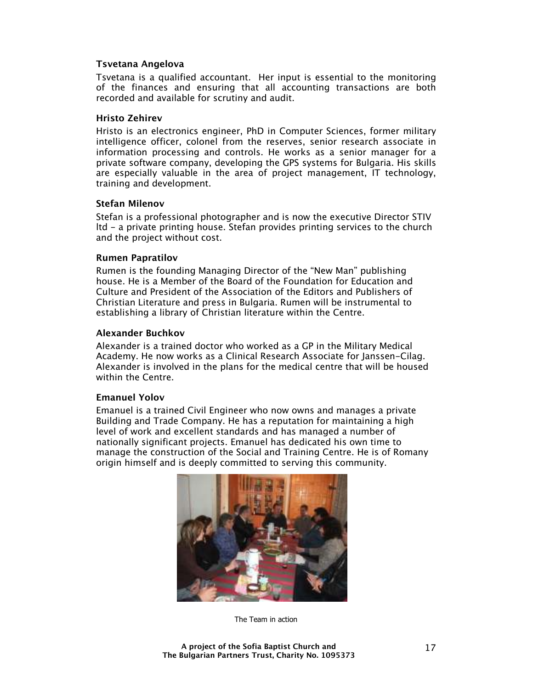#### **Tsvetana Angelova**

Tsvetana is a qualified accountant. Her input is essential to the monitoring of the finances and ensuring that all accounting transactions are both recorded and available for scrutiny and audit.

#### **Hristo Zehirev**

Hristo is an electronics engineer, PhD in Computer Sciences, former military intelligence officer, colonel from the reserves, senior research associate in information processing and controls. He works as a senior manager for a private software company, developing the GPS systems for Bulgaria. His skills are especially valuable in the area of project management, IT technology, training and development.

#### **Stefan Milenov**

Stefan is a professional photographer and is now the executive Director STIV ltd - a private printing house. Stefan provides printing services to the church and the project without cost.

#### **Rumen Papratilov**

Rumen is the founding Managing Director of the "New Man" publishing house. He is a Member of the Board of the Foundation for Education and Culture and President of the Association of the Editors and Publishers of Christian Literature and press in Bulgaria. Rumen will be instrumental to establishing a library of Christian literature within the Centre.

#### **Alexander Buchkov**

Alexander is a trained doctor who worked as a GP in the Military Medical Academy. He now works as a Clinical Research Associate for Janssen-Cilag. Alexander is involved in the plans for the medical centre that will be housed within the Centre.

#### **Emanuel Yolov**

Emanuel is a trained Civil Engineer who now owns and manages a private Building and Trade Company. He has a reputation for maintaining a high level of work and excellent standards and has managed a number of nationally significant projects. Emanuel has dedicated his own time to manage the construction of the Social and Training Centre. He is of Romany origin himself and is deeply committed to serving this community.



The Team in action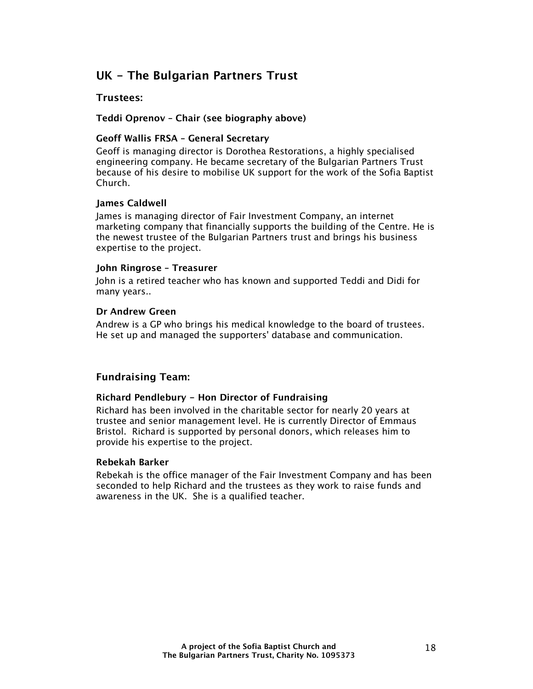## **UK - The Bulgarian Partners Trust**

#### **Trustees:**

#### **Teddi Oprenov – Chair (see biography above)**

#### **Geoff Wallis FRSA – General Secretary**

Geoff is managing director is Dorothea Restorations, a highly specialised engineering company. He became secretary of the Bulgarian Partners Trust because of his desire to mobilise UK support for the work of the Sofia Baptist Church.

#### **James Caldwell**

James is managing director of Fair Investment Company, an internet marketing company that financially supports the building of the Centre. He is the newest trustee of the Bulgarian Partners trust and brings his business expertise to the project.

#### **John Ringrose – Treasurer**

John is a retired teacher who has known and supported Teddi and Didi for many years..

#### **Dr Andrew Green**

Andrew is a GP who brings his medical knowledge to the board of trustees. He set up and managed the supporters' database and communication.

#### **Fundraising Team:**

#### **Richard Pendlebury - Hon Director of Fundraising**

Richard has been involved in the charitable sector for nearly 20 years at trustee and senior management level. He is currently Director of Emmaus Bristol. Richard is supported by personal donors, which releases him to provide his expertise to the project.

#### **Rebekah Barker**

Rebekah is the office manager of the Fair Investment Company and has been seconded to help Richard and the trustees as they work to raise funds and awareness in the UK. She is a qualified teacher.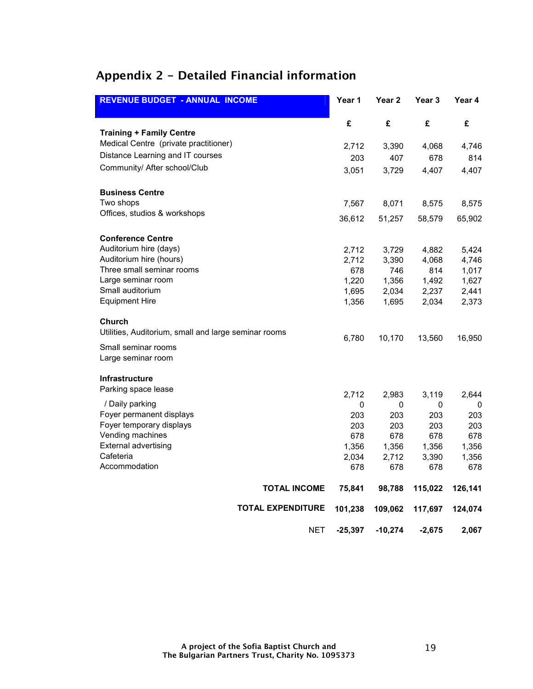## **Appendix 2 - Detailed Financial information**

| <b>REVENUE BUDGET - ANNUAL INCOME</b>                          | Year 1       | Year <sub>2</sub> | Year 3   | Year 4       |
|----------------------------------------------------------------|--------------|-------------------|----------|--------------|
|                                                                | £            | £                 | £        | £            |
| <b>Training + Family Centre</b>                                |              |                   |          |              |
| Medical Centre (private practitioner)                          | 2,712        | 3,390             | 4,068    | 4,746        |
| Distance Learning and IT courses                               | 203          | 407               | 678      | 814          |
| Community/ After school/Club                                   | 3,051        | 3,729             | 4,407    | 4,407        |
| <b>Business Centre</b>                                         |              |                   |          |              |
| Two shops                                                      | 7,567        | 8,071             | 8,575    | 8,575        |
| Offices, studios & workshops                                   | 36,612       | 51,257            | 58,579   | 65,902       |
| <b>Conference Centre</b>                                       |              |                   |          |              |
| Auditorium hire (days)                                         | 2,712        | 3,729             | 4,882    | 5,424        |
| Auditorium hire (hours)                                        | 2,712        | 3,390             | 4,068    | 4,746        |
| Three small seminar rooms                                      | 678          | 746               | 814      | 1,017        |
| Large seminar room                                             | 1,220        | 1,356             | 1,492    | 1,627        |
| Small auditorium                                               | 1,695        | 2,034             | 2,237    | 2,441        |
| <b>Equipment Hire</b>                                          | 1,356        | 1,695             | 2,034    | 2,373        |
| Church<br>Utilities, Auditorium, small and large seminar rooms |              |                   |          |              |
|                                                                | 6,780        | 10,170            | 13,560   | 16,950       |
| Small seminar rooms                                            |              |                   |          |              |
| Large seminar room                                             |              |                   |          |              |
| <b>Infrastructure</b>                                          |              |                   |          |              |
| Parking space lease                                            | 2,712        | 2,983             | 3,119    | 2,644        |
| / Daily parking                                                | 0            | 0                 | 0        | 0            |
| Foyer permanent displays                                       | 203          | 203               | 203      | 203          |
| Foyer temporary displays                                       | 203          | 203               | 203      | 203          |
| Vending machines                                               | 678          | 678               | 678      | 678          |
| <b>External advertising</b><br>Cafeteria                       | 1,356        | 1,356             | 1,356    | 1,356        |
| Accommodation                                                  | 2,034<br>678 | 2,712<br>678      | 3,390    | 1,356<br>678 |
|                                                                |              |                   | 678      |              |
| <b>TOTAL INCOME</b>                                            | 75,841       | 98,788            | 115,022  | 126,141      |
| <b>TOTAL EXPENDITURE</b>                                       | 101,238      | 109,062           | 117,697  | 124,074      |
| <b>NET</b>                                                     | $-25,397$    | $-10,274$         | $-2,675$ | 2,067        |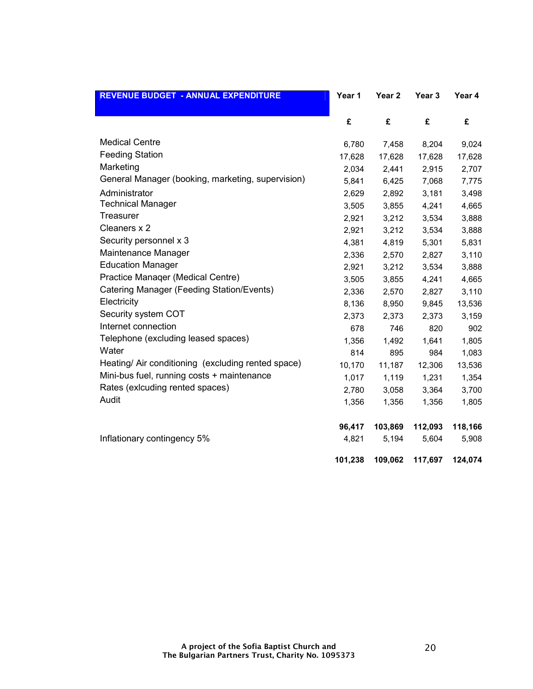| <b>REVENUE BUDGET - ANNUAL EXPENDITURE</b>        | Year 1  | Year <sub>2</sub> | Year <sub>3</sub> | Year 4  |
|---------------------------------------------------|---------|-------------------|-------------------|---------|
|                                                   | £       | £                 | £                 | £       |
| <b>Medical Centre</b>                             | 6,780   | 7,458             | 8,204             | 9,024   |
| <b>Feeding Station</b>                            | 17,628  | 17,628            | 17,628            | 17,628  |
| Marketing                                         | 2,034   | 2,441             | 2,915             | 2,707   |
| General Manager (booking, marketing, supervision) | 5,841   | 6,425             | 7,068             | 7,775   |
| Administrator                                     | 2,629   | 2,892             | 3,181             | 3,498   |
| <b>Technical Manager</b>                          | 3,505   | 3,855             | 4,241             | 4,665   |
| Treasurer                                         | 2,921   | 3,212             | 3,534             | 3,888   |
| Cleaners x 2                                      | 2,921   | 3,212             | 3,534             | 3,888   |
| Security personnel x 3                            | 4,381   | 4,819             | 5,301             | 5,831   |
| Maintenance Manager                               | 2,336   | 2,570             | 2,827             | 3,110   |
| <b>Education Manager</b>                          | 2,921   | 3,212             | 3,534             | 3,888   |
| Practice Manager (Medical Centre)                 | 3,505   | 3,855             | 4,241             | 4,665   |
| Catering Manager (Feeding Station/Events)         | 2,336   | 2,570             | 2,827             | 3,110   |
| Electricity                                       | 8,136   | 8,950             | 9,845             | 13,536  |
| Security system COT                               | 2,373   | 2,373             | 2,373             | 3,159   |
| Internet connection                               | 678     | 746               | 820               | 902     |
| Telephone (excluding leased spaces)               | 1,356   | 1,492             | 1,641             | 1,805   |
| Water                                             | 814     | 895               | 984               | 1,083   |
| Heating/Air conditioning (excluding rented space) | 10,170  | 11,187            | 12,306            | 13,536  |
| Mini-bus fuel, running costs + maintenance        | 1,017   | 1,119             | 1,231             | 1,354   |
| Rates (exicuding rented spaces)                   | 2,780   | 3,058             | 3,364             | 3,700   |
| Audit                                             | 1,356   | 1,356             | 1,356             | 1,805   |
|                                                   | 96,417  | 103,869           | 112,093           | 118,166 |
| Inflationary contingency 5%                       | 4,821   | 5,194             | 5,604             | 5,908   |
|                                                   | 101,238 | 109,062           | 117,697           | 124,074 |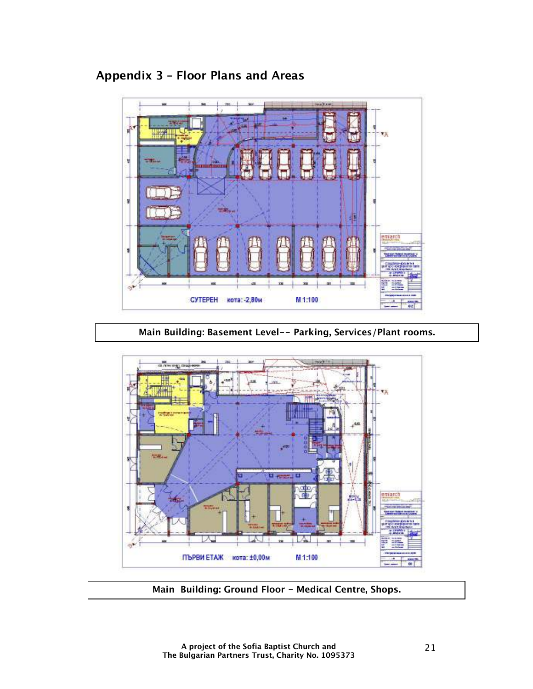## **Appendix 3 – Floor Plans and Areas**



**Main Building: Basement Level-- Parking, Services/Plant rooms.**



**Main Building: Ground Floor - Medical Centre, Shops.**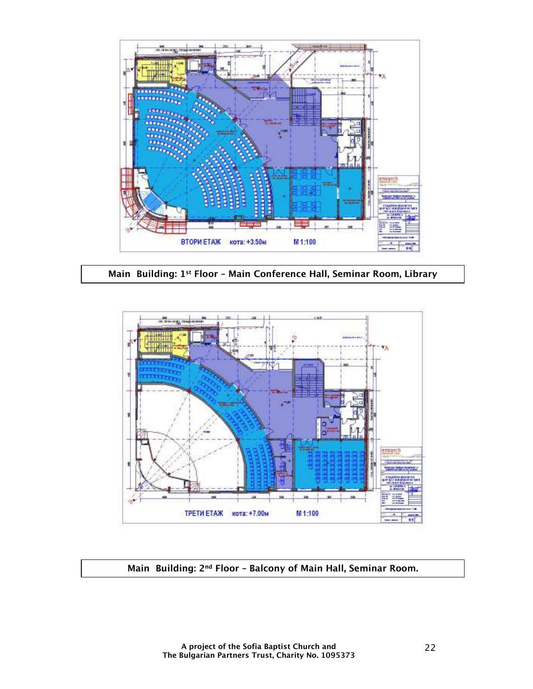

**Main Building: 1st Floor – Main Conference Hall, Seminar Room, Library**



**Main Building: 2nd Floor – Balcony of Main Hall, Seminar Room.**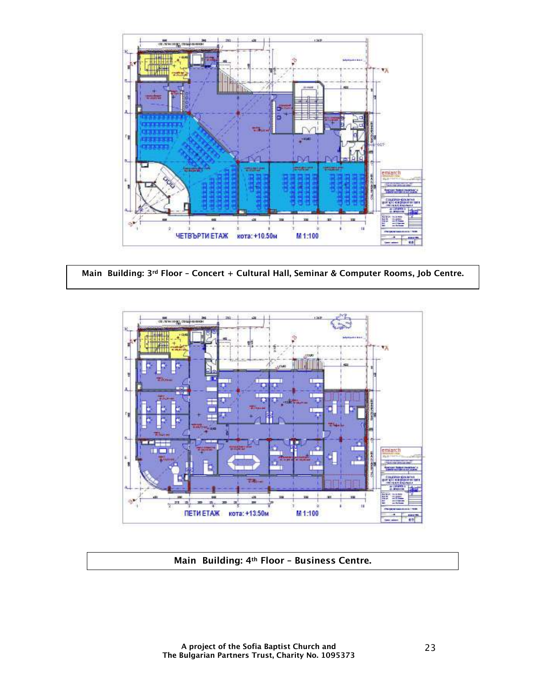

**Main Building: 3rd Floor – Concert + Cultural Hall, Seminar & Computer Rooms, Job Centre.**



#### **Main Building: 4th Floor – Business Centre.**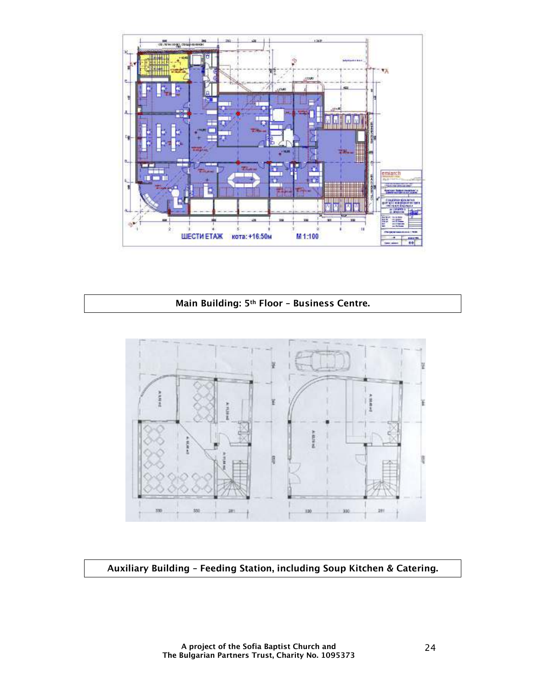

## **Main Building: 5th Floor – Business Centre.**



**Auxiliary Building – Feeding Station, including Soup Kitchen & Catering.**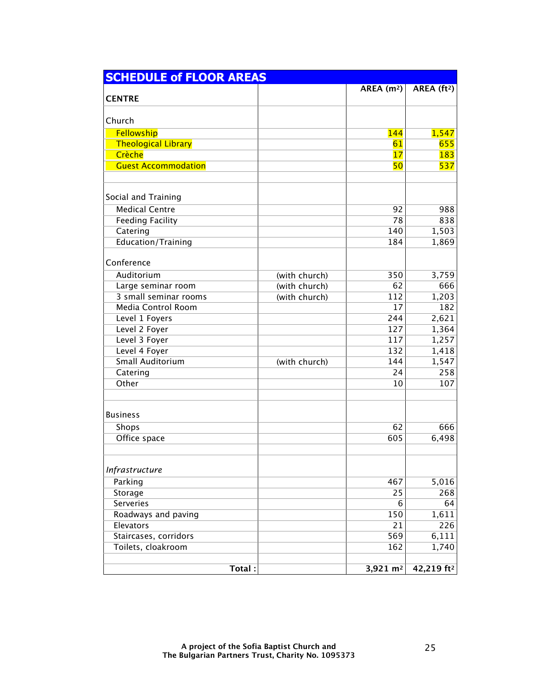| <b>SCHEDULE of FLOOR AREAS</b> |               |                     |                        |  |  |
|--------------------------------|---------------|---------------------|------------------------|--|--|
|                                |               | AREA $(m2)$         | AREA $(ft^2)$          |  |  |
| <b>CENTRE</b>                  |               |                     |                        |  |  |
|                                |               |                     |                        |  |  |
| Church                         |               |                     |                        |  |  |
| Fellowship                     |               | <b>144</b>          | 1,547                  |  |  |
| <b>Theological Library</b>     |               | 61                  | 655                    |  |  |
| Crèche                         |               | 17                  | 183                    |  |  |
| <b>Guest Accommodation</b>     |               | 50                  | 537                    |  |  |
|                                |               |                     |                        |  |  |
| Social and Training            |               |                     |                        |  |  |
| <b>Medical Centre</b>          |               | 92                  | 988                    |  |  |
| <b>Feeding Facility</b>        |               | 78                  | 838                    |  |  |
| Catering                       |               | 140                 | 1,503                  |  |  |
| Education/Training             |               | 184                 | 1,869                  |  |  |
|                                |               |                     |                        |  |  |
| Conference                     |               |                     |                        |  |  |
| Auditorium                     | (with church) | 350                 | 3,759                  |  |  |
| Large seminar room             | (with church) | 62                  | 666                    |  |  |
| 3 small seminar rooms          | (with church) | 112                 | 1,203                  |  |  |
| <b>Media Control Room</b>      |               | 17                  | 182                    |  |  |
| Level 1 Foyers                 |               | 244                 | 2,621                  |  |  |
| Level 2 Foyer                  |               | 127                 | 1,364                  |  |  |
| Level 3 Foyer                  |               | 117                 | 1,257                  |  |  |
| Level 4 Foyer                  |               | 132                 | 1,418                  |  |  |
| <b>Small Auditorium</b>        | (with church) | 144                 | 1,547                  |  |  |
| Catering                       |               | 24                  | 258                    |  |  |
| Other                          |               | 10                  | 107                    |  |  |
|                                |               |                     |                        |  |  |
| <b>Business</b>                |               |                     |                        |  |  |
| Shops                          |               | 62                  | 666                    |  |  |
| Office space                   |               | 605                 | 6,498                  |  |  |
|                                |               |                     |                        |  |  |
| Infrastructure                 |               |                     |                        |  |  |
| Parking                        |               | 467                 | 5,016                  |  |  |
| Storage                        |               | 25                  | 268                    |  |  |
| <b>Serveries</b>               |               | 6                   | 64                     |  |  |
| Roadways and paving            |               | 150                 | 1,611                  |  |  |
| Elevators                      |               | 21                  | 226                    |  |  |
| Staircases, corridors          |               | 569                 | 6,111                  |  |  |
| Toilets, cloakroom             |               | 162                 | 1,740                  |  |  |
|                                |               |                     |                        |  |  |
| Total:                         |               | $3,921 \text{ m}^2$ | 42,219 ft <sup>2</sup> |  |  |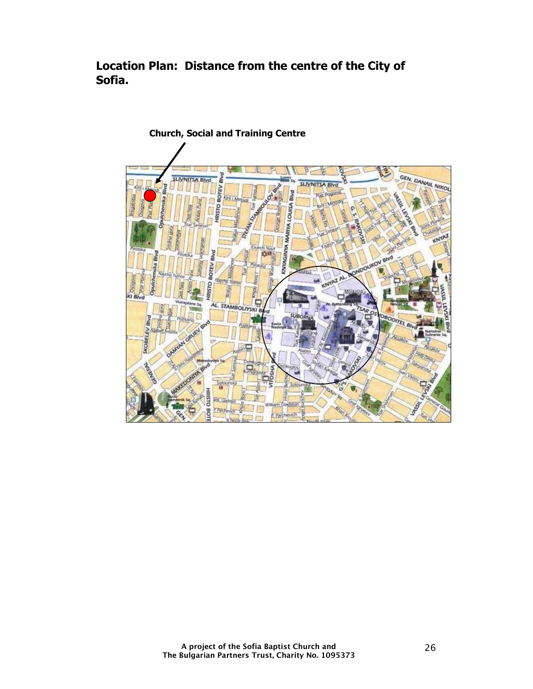**Location Plan: Distance from the centre of the City of Sofia.** 

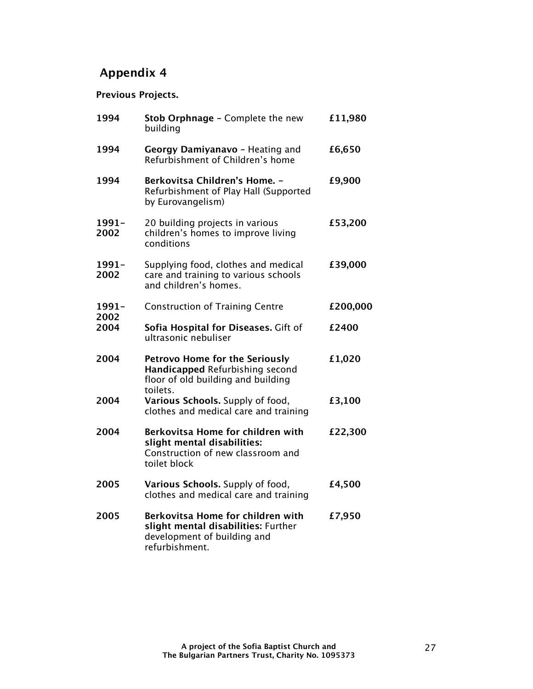## **Appendix 4**

## **Previous Projects.**

| 1994          | Stob Orphnage - Complete the new<br>building                                                                               | £11,980  |
|---------------|----------------------------------------------------------------------------------------------------------------------------|----------|
| 1994          | Georgy Damiyanavo - Heating and<br>Refurbishment of Children's home                                                        | £6,650   |
| 1994          | <b>Berkovitsa Children's Home. -</b><br>Refurbishment of Play Hall (Supported<br>by Eurovangelism)                         | £9,900   |
| 1991-<br>2002 | 20 building projects in various<br>children's homes to improve living<br>conditions                                        | £53,200  |
| 1991-<br>2002 | Supplying food, clothes and medical<br>care and training to various schools<br>and children's homes.                       | £39,000  |
| 1991-<br>2002 | <b>Construction of Training Centre</b>                                                                                     | £200,000 |
| 2004          | Sofia Hospital for Diseases. Gift of<br>ultrasonic nebuliser                                                               | £2400    |
| 2004          | <b>Petrovo Home for the Seriously</b><br>Handicapped Refurbishing second<br>floor of old building and building<br>toilets. | £1,020   |
| 2004          | Various Schools. Supply of food,<br>clothes and medical care and training                                                  | £3,100   |
| 2004          | Berkovitsa Home for children with<br>slight mental disabilities:<br>Construction of new classroom and<br>toilet block      | £22,300  |
| 2005          | Various Schools. Supply of food,<br>clothes and medical care and training                                                  | £4,500   |
| 2005          | Berkovitsa Home for children with<br>slight mental disabilities: Further<br>development of building and<br>refurbishment.  | £7,950   |